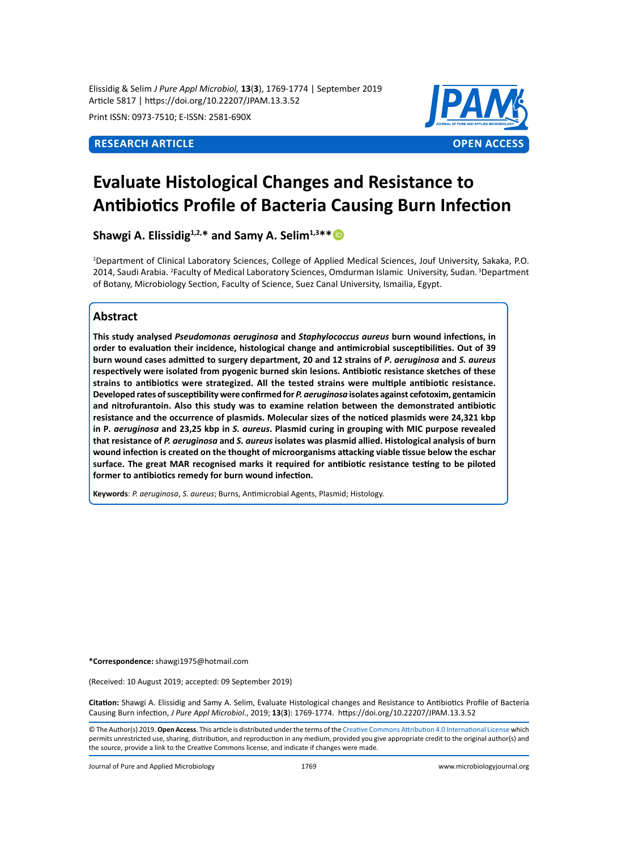Elissidig & Selim *J Pure Appl Microbiol,* **13**(**3**), 1769-1774 | September 2019 Article 5817 | https://doi.org/10.22207/JPAM.13.3.52

Print ISSN: 0973-7510; E-ISSN: 2581-690X



# **Evaluate Histological Changes and Resistance to Antibiotics Profile of Bacteria Causing Burn Infection**

**Shawgi A. Elissidig**<sup>1,2,\*</sup> and Samy A. Selim<sup>1,3\*\*</sup>

1 Department of Clinical Laboratory Sciences, College of Applied Medical Sciences, Jouf University, Sakaka, P.O. 2014, Saudi Arabia. <sup>2</sup>Faculty of Medical Laboratory Sciences, Omdurman Islamic University, Sudan. <sup>3</sup>Department of Botany, Microbiology Section, Faculty of Science, Suez Canal University, Ismailia, Egypt.

### **Abstract**

**This study analysed** *Pseudomonas aeruginosa* **and** *Staphylococcus aureus* **burn wound infections, in order to evaluation their incidence, histological change and antimicrobial susceptibilities. Out of 39 burn wound cases admitted to surgery department, 20 and 12 strains of** *P***.** *aeruginosa* **and** *S. aureus* **respectively were isolated from pyogenic burned skin lesions. Antibiotic resistance sketches of these strains to antibiotics were strategized. All the tested strains were multiple antibiotic resistance. Developed rates of susceptibility were confirmed for** *P. aeruginosa* **isolates against cefotoxim, gentamicin and nitrofurantoin. Also this study was to examine relation between the demonstrated antibiotic resistance and the occurrence of plasmids. Molecular sizes of the noticed plasmids were 24,321 kbp in P***. aeruginosa* **and 23,25 kbp in** *S. aureus***. Plasmid curing in grouping with MIC purpose revealed that resistance of** *P. aeruginosa* **and** *S. aureus* **isolates was plasmid allied. Histological analysis of burn wound infection is created on the thought of microorganisms attacking viable tissue below the eschar surface. The great MAR recognised marks it required for antibiotic resistance testing to be piloted former to antibiotics remedy for burn wound infection.**

**Keywords**: *P. aeruginosa*, *S. aureus*; Burns, Antimicrobial Agents, Plasmid; Histology.

**\*Correspondence:** shawgi1975@hotmail.com

(Received: 10 August 2019; accepted: 09 September 2019)

**Citation:** Shawgi A. Elissidig and Samy A. Selim, Evaluate Histological changes and Resistance to Antibiotics Profile of Bacteria Causing Burn infection, *J Pure Appl Microbiol*., 2019; **13**(**3**): 1769-1774. https://doi.org/10.22207/JPAM.13.3.52

© The Author(s) 2019. **Open Access**. This article is distributed under the terms of the [Creative Commons Attribution 4.0 International License](https://creativecommons.org/licenses/by/4.0/) which permits unrestricted use, sharing, distribution, and reproduction in any medium, provided you give appropriate credit to the original author(s) and the source, provide a link to the Creative Commons license, and indicate if changes were made.

Journal of Pure and Applied Microbiology 1769 www.microbiologyjournal.org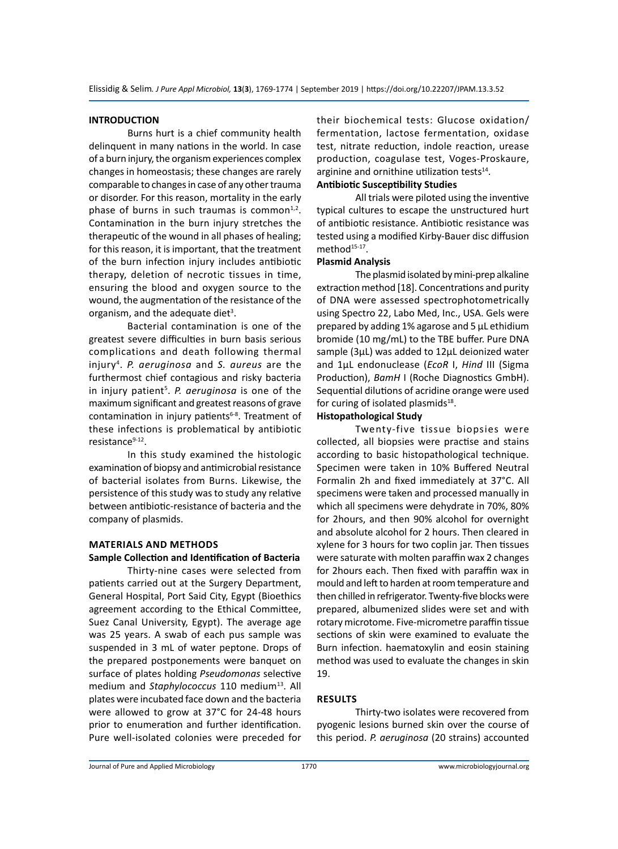#### **INTRODUCTION**

Burns hurt is a chief community health delinquent in many nations in the world. In case of a burn injury, the organism experiences complex changes in homeostasis; these changes are rarely comparable to changes in case of any other trauma or disorder. For this reason, mortality in the early phase of burns in such traumas is common $1,2$ . Contamination in the burn injury stretches the therapeutic of the wound in all phases of healing; for this reason, it is important, that the treatment of the burn infection injury includes antibiotic therapy, deletion of necrotic tissues in time, ensuring the blood and oxygen source to the wound, the augmentation of the resistance of the organism, and the adequate diet<sup>3</sup>.

Bacterial contamination is one of the greatest severe difficulties in burn basis serious complications and death following thermal injury4 . *P. aeruginosa* and *S. aureus* are the furthermost chief contagious and risky bacteria in injury patient<sup>5</sup>. P. aeruginosa is one of the maximum significant and greatest reasons of grave contamination in injury patients $6-8$ . Treatment of these infections is problematical by antibiotic resistance<sup>9-12</sup>.

In this study examined the histologic examination of biopsy and antimicrobial resistance of bacterial isolates from Burns. Likewise, the persistence of this study was to study any relative between antibiotic-resistance of bacteria and the company of plasmids.

#### **MATERIALS AND METHODS**

#### **Sample Collection and Identification of Bacteria**

Thirty-nine cases were selected from patients carried out at the Surgery Department, General Hospital, Port Said City, Egypt (Bioethics agreement according to the Ethical Committee, Suez Canal University, Egypt). The average age was 25 years. A swab of each pus sample was suspended in 3 mL of water peptone. Drops of the prepared postponements were banquet on surface of plates holding *Pseudomonas* selective medium and *Staphylococcus* 110 medium<sup>13</sup>. All plates were incubated face down and the bacteria were allowed to grow at 37°C for 24-48 hours prior to enumeration and further identification. Pure well-isolated colonies were preceded for their biochemical tests: Glucose oxidation/ fermentation, lactose fermentation, oxidase test, nitrate reduction, indole reaction, urease production, coagulase test, Voges-Proskaure, arginine and ornithine utilization tests<sup>14</sup>.

# **Antibiotic Susceptibility Studies**

All trials were piloted using the inventive typical cultures to escape the unstructured hurt of antibiotic resistance. Antibiotic resistance was tested using a modified Kirby-Bauer disc diffusion method<sup>15-17</sup>.

# **Plasmid Analysis**

The plasmid isolated by mini-prep alkaline extraction method [18]. Concentrations and purity of DNA were assessed spectrophotometrically using Spectro 22, Labo Med, Inc., USA. Gels were prepared by adding 1% agarose and 5 µL ethidium bromide (10 mg/mL) to the TBE buffer. Pure DNA sample (3µL) was added to 12µL deionized water and 1µL endonuclease (*EcoR* I, *Hind* III (Sigma Production), *BamH* I (Roche Diagnostics GmbH). Sequential dilutions of acridine orange were used for curing of isolated plasmids $18$ .

#### **Histopathological Study**

Twenty-five tissue biopsies were collected, all biopsies were practise and stains according to basic histopathological technique. Specimen were taken in 10% Buffered Neutral Formalin 2h and fixed immediately at 37°C. All specimens were taken and processed manually in which all specimens were dehydrate in 70%, 80% for 2hours, and then 90% alcohol for overnight and absolute alcohol for 2 hours. Then cleared in xylene for 3 hours for two coplin jar. Then tissues were saturate with molten paraffin wax 2 changes for 2hours each. Then fixed with paraffin wax in mould and left to harden at room temperature and then chilled in refrigerator. Twenty-five blocks were prepared, albumenized slides were set and with rotary microtome. Five-micrometre paraffin tissue sections of skin were examined to evaluate the Burn infection. haematoxylin and eosin staining method was used to evaluate the changes in skin 19.

# **RESULTS**

Thirty-two isolates were recovered from pyogenic lesions burned skin over the course of this period. *P. aeruginosa* (20 strains) accounted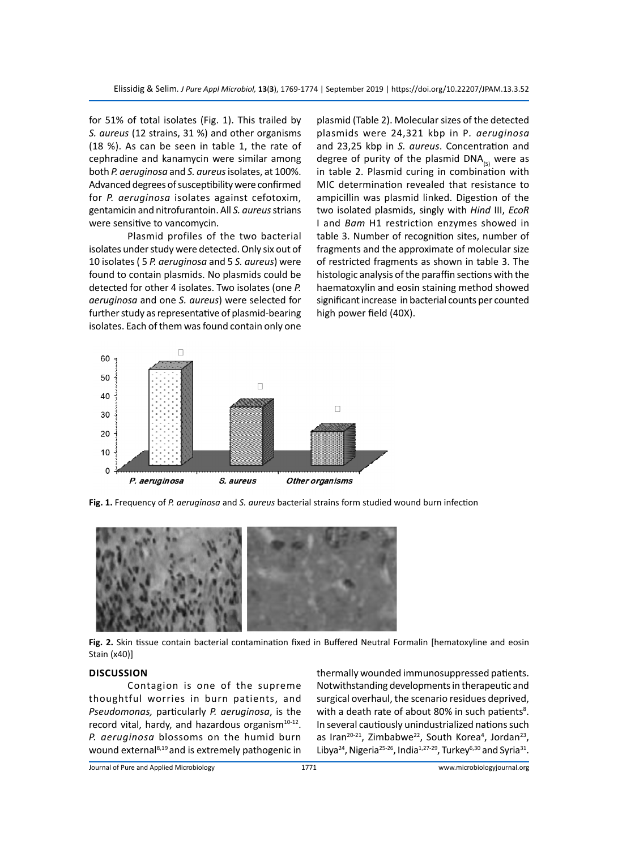for 51% of total isolates (Fig. 1). This trailed by *S. aureus* (12 strains, 31 %) and other organisms (18 %). As can be seen in table 1, the rate of cephradine and kanamycin were similar among both *P. aeruginosa* and *S. aureus* isolates, at 100%. Advanced degrees of susceptibility were confirmed for *P. aeruginosa* isolates against cefotoxim, gentamicin and nitrofurantoin. All *S. aureus* strians were sensitive to vancomycin.

Plasmid profiles of the two bacterial isolates under study were detected. Only six out of 10 isolates ( 5 *P. aeruginosa* and 5 *S. aureus*) were found to contain plasmids. No plasmids could be detected for other 4 isolates. Two isolates (one *P. aeruginosa* and one *S. aureus*) were selected for further study as representative of plasmid-bearing isolates. Each of them was found contain only one plasmid (Table 2). Molecular sizes of the detected plasmids were 24,321 kbp in P*. aeruginosa* and 23,25 kbp in *S. aureus*. Concentration and degree of purity of the plasmid DNA $_{(s)}$  were as in table 2. Plasmid curing in combination with MIC determination revealed that resistance to ampicillin was plasmid linked. Digestion of the two isolated plasmids, singly with *Hind* III, *EcoR* I and *Bam* H1 restriction enzymes showed in table 3. Number of recognition sites, number of fragments and the approximate of molecular size of restricted fragments as shown in table 3. The histologic analysis of the paraffin sections with the haematoxylin and eosin staining method showed significant increase in bacterial counts per counted high power field (40X).



**Fig. 1.** Frequency of *P. aeruginosa* and *S. aureus* bacterial strains form studied wound burn infection



**Fig. 2.** Skin tissue contain bacterial contamination fixed in Buffered Neutral Formalin [hematoxyline and eosin Stain (x40)]

#### **DISCUSSION**

Contagion is one of the supreme thoughtful worries in burn patients, and *Pseudomonas,* particularly *P. aeruginosa*, is the record vital, hardy, and hazardous organism $10-12$ . *P. aeruginosa* blossoms on the humid burn wound external8,19 and is extremely pathogenic in thermally wounded immunosuppressed patients. Notwithstanding developments in therapeutic and surgical overhaul, the scenario residues deprived, with a death rate of about 80% in such patients<sup>8</sup>. In several cautiously unindustrialized nations such as Iran<sup>20-21</sup>, Zimbabwe<sup>22</sup>, South Korea<sup>4</sup>, Jordan<sup>23</sup>, Libya<sup>24</sup>, Nigeria<sup>25-26</sup>, India<sup>1,27-29</sup>, Turkey<sup>6,30</sup> and Syria<sup>31</sup>.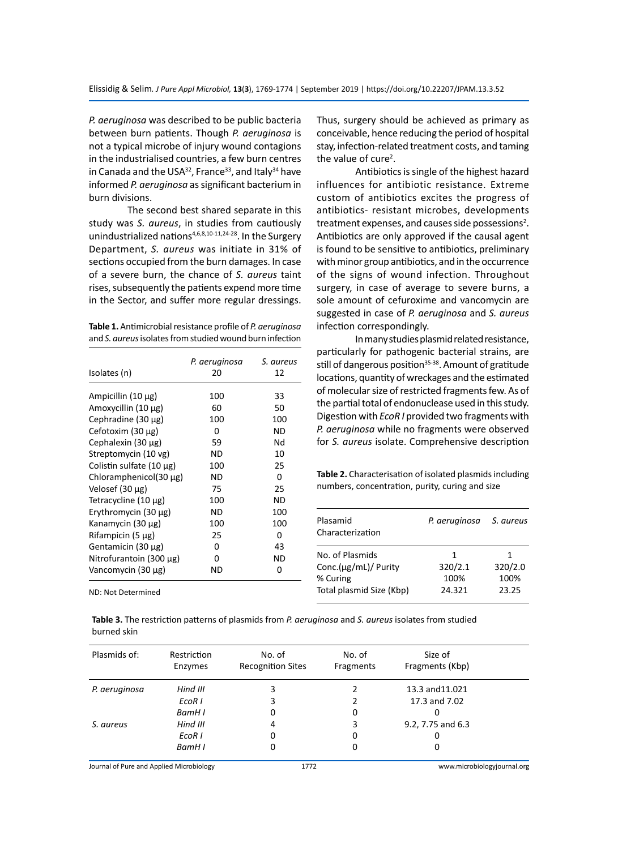*P. aeruginosa* was described to be public bacteria between burn patients. Though *P. aeruginosa* is not a typical microbe of injury wound contagions in the industrialised countries, a few burn centres in Canada and the USA $32$ , France<sup>33</sup>, and Italy $34$  have informed *P. aeruginosa* as significant bacterium in burn divisions.

The second best shared separate in this study was *S. aureus*, in studies from cautiously unindustrialized nations<sup>4,6,8,10-11,24-28</sup>. In the Surgery Department, *S. aureus* was initiate in 31% of sections occupied from the burn damages. In case of a severe burn, the chance of *S. aureus* taint rises, subsequently the patients expend more time in the Sector, and suffer more regular dressings.

| Table 1. Antimicrobial resistance profile of P. aeruginosa |
|------------------------------------------------------------|
| and S. aureus isolates from studied wound burn infection   |

| Isolates (n)                | P. aeruginosa<br>20 | S. aureus<br>12 |
|-----------------------------|---------------------|-----------------|
| Ampicillin (10 μg)          | 100                 | 33              |
| Amoxycillin (10 μg)         | 60                  | 50              |
| Cephradine $(30 \mu g)$     | 100                 | 100             |
| Cefotoxim (30 µg)           | O                   | ND              |
| Cephalexin (30 μg)          | 59                  | Nd              |
| Streptomycin (10 vg)        | ND                  | 10              |
| Colistin sulfate (10 µg)    | 100                 | 25              |
| Chloramphenicol(30 $\mu$ g) | ND                  | 0               |
| Velosef (30 µg)             | 75                  | 25              |
| Tetracycline (10 µg)        | 100                 | ND              |
| Erythromycin (30 $\mu$ g)   | ND.                 | 100             |
| Kanamycin (30 µg)           | 100                 | 100             |
| Rifampicin $(5 \mu g)$      | 25                  | 0               |
| Gentamicin (30 μg)          | ŋ                   | 43              |
| Nitrofurantoin (300 μg)     | ŋ                   | ND              |
| Vancomycin (30 μg)          | ND                  | 0               |

ND: Not Determined

Thus, surgery should be achieved as primary as conceivable, hence reducing the period of hospital stay, infection-related treatment costs, and taming the value of cure<sup>2</sup>.

Antibiotics is single of the highest hazard influences for antibiotic resistance. Extreme custom of antibiotics excites the progress of antibiotics- resistant microbes, developments treatment expenses, and causes side possessions<sup>2</sup>. Antibiotics are only approved if the causal agent is found to be sensitive to antibiotics, preliminary with minor group antibiotics, and in the occurrence of the signs of wound infection. Throughout surgery, in case of average to severe burns, a sole amount of cefuroxime and vancomycin are suggested in case of *P. aeruginosa* and *S. aureus*  infection correspondingly.

In many studies plasmid related resistance, particularly for pathogenic bacterial strains, are still of dangerous position $35-38$ . Amount of gratitude locations, quantity of wreckages and the estimated of molecular size of restricted fragments few. As of the partial total of endonuclease used in this study. Digestion with *EcoR I* provided two fragments with *P. aeruginosa* while no fragments were observed for *S. aureus* isolate. Comprehensive description

**Table 2.** Characterisation of isolated plasmids including numbers, concentration, purity, curing and size

| P. aeruginosa | S. aureus |
|---------------|-----------|
| 1             | 1         |
| 320/2.1       | 320/2.0   |
| 100%          | 100%      |
| 24.321        | 23.25     |
|               |           |

**Table 3.** The restriction patterns of plasmids from *P. aeruginosa* and *S. aureus* isolates from studied burned skin

| Plasmids of:  | Restriction<br>Enzymes | No. of<br><b>Recognition Sites</b> | No. of<br>Fragments | Size of<br>Fragments (Kbp) |  |
|---------------|------------------------|------------------------------------|---------------------|----------------------------|--|
| P. aeruginosa | Hind III               |                                    |                     | 13.3 and 11.021            |  |
|               | EcoR I                 |                                    |                     | 17.3 and 7.02              |  |
|               | BamH I                 | 0                                  | 0                   | 0                          |  |
| S. aureus     | Hind III               | 4                                  | 3                   | 9.2, 7.75 and 6.3          |  |
|               | EcoR I                 | 0                                  | 0                   | 0                          |  |
|               | BamH I                 | 0                                  | 0                   | 0                          |  |

Journal of Pure and Applied Microbiology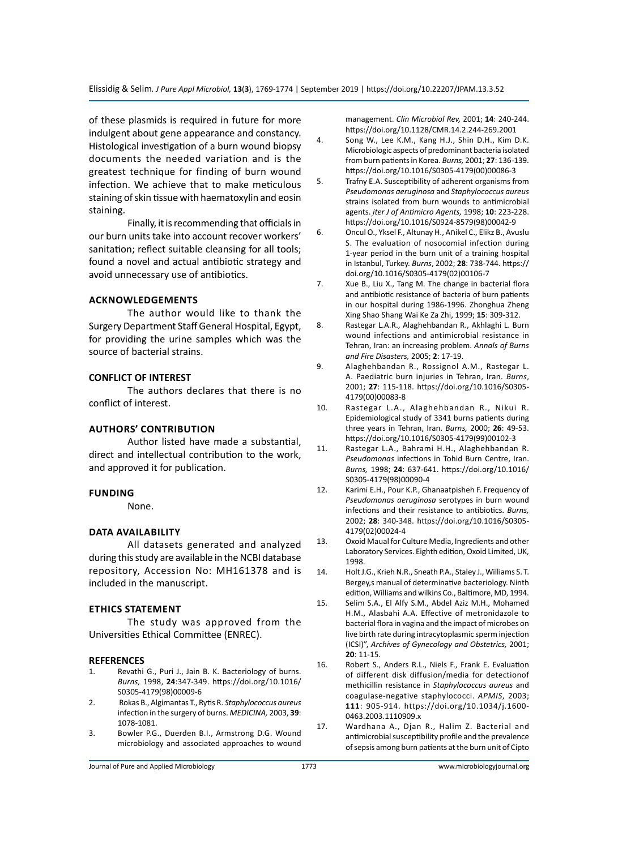of these plasmids is required in future for more indulgent about gene appearance and constancy. Histological investigation of a burn wound biopsy documents the needed variation and is the greatest technique for finding of burn wound infection. We achieve that to make meticulous staining of skin tissue with haematoxylin and eosin staining.

Finally, it is recommending that officials in our burn units take into account recover workers' sanitation; reflect suitable cleansing for all tools; found a novel and actual antibiotic strategy and avoid unnecessary use of antibiotics.

# **ACKNOWLEDGEMENTS**

The author would like to thank the Surgery Department Staff General Hospital, Egypt, for providing the urine samples which was the source of bacterial strains.

#### **CONFLICT OF INTEREST**

The authors declares that there is no conflict of interest.

#### **Authors' Contribution**

Author listed have made a substantial, direct and intellectual contribution to the work, and approved it for publication.

#### **Funding**

None.

#### **Data availability**

All datasets generated and analyzed during this study are available in the NCBI database repository, Accession No: MH161378 and is included in the manuscript.

#### **Ethics Statement**

The study was approved from the Universities Ethical Committee (ENREC).

#### **REFERENCES**

- 1. Revathi G., Puri J., Jain B. K. Bacteriology of burns. *Burns,* 1998, **24**:347-349. https://doi.org/10.1016/ S0305-4179(98)00009-6
- 2. Rokas B., Algimantas T., Rytis R. *Staphylococcus aureus* infection in the surgery of burns. *MEDICINA,* 2003, **39**: 1078-1081.
- 3. Bowler P.G., Duerden B.I., Armstrong D.G. Wound microbiology and associated approaches to wound

management. *Clin Microbiol Rev,* 2001; **14**: 240-244. https://doi.org/10.1128/CMR.14.2.244-269.2001

- 4. Song W., Lee K.M., Kang H.J., Shin D.H., Kim D.K. Microbiologic aspects of predominant bacteria isolated from burn patients in Korea. *Burns,* 2001; **27**: 136-139. https://doi.org/10.1016/S0305-4179(00)00086-3
- 5. Trafny E.A. Susceptibility of adherent organisms from *Pseudomonas aeruginosa* and *Staphylococcus aureus* strains isolated from burn wounds to antimicrobial agents. *ֽiter J of Antimicro Agents,* 1998; **10**: 223-228. https://doi.org/10.1016/S0924-8579(98)00042-9
- 6. Oncul O., Yksel F., Altunay H., Aחikel C., Elikz B., Avuslu S. The evaluation of nosocomial infection during 1-year period in the burn unit of a training hospital in Istanbul, Turkey. *Burns*, 2002; **28**: 738-744. https:// doi.org/10.1016/S0305-4179(02)00106-7
- 7. Xue B., Liu X., Tang M. The change in bacterial flora and antibiotic resistance of bacteria of burn patients in our hospital during 1986-1996. Zhonghua Zheng Xing Shao Shang Wai Ke Za Zhi, 1999; **15**: 309-312.
- 8. Rastegar L.A.R., Alaghehbandan R., Akhlaghi L. Burn wound infections and antimicrobial resistance in Tehran, Iran: an increasing problem. *Annals of Burns and Fire Disasters,* 2005; **2**: 17-19.
- 9. Alaghehbandan R., Rossignol A.M., Rastegar L. A. Paediatric burn injuries in Tehran, Iran. *Burns*, 2001; **27**: 115-118. https://doi.org/10.1016/S0305- 4179(00)00083-8
- 10. Rastegar L.A., Alaghehbandan R., Nikui R. Epidemiological study of 3341 burns patients during three years in Tehran, Iran. *Burns,* 2000; **26**: 49-53. https://doi.org/10.1016/S0305-4179(99)00102-3
- 11. Rastegar L.A., Bahrami H.H., Alaghehbandan R. *Pseudomonas* infections in Tohid Burn Centre, Iran. *Burns,* 1998; **24**: 637-641. https://doi.org/10.1016/ S0305-4179(98)00090-4
- 12. Karimi E.H., Pour K.P., Ghanaatpisheh F. Frequency of *Pseudomonas aeruginosa* serotypes in burn wound infections and their resistance to antibiotics. *Burns,*  2002; **28**: 340-348. https://doi.org/10.1016/S0305- 4179(02)00024-4
- 13. Oxoid Maual for Culture Media, Ingredients and other Laboratory Services. Eighth edition, Oxoid Limited, UK, 1998.
- 14. Holt J.G., Krieh N.R., Sneath P.A., Staley J., Williams S. T. Bergey,s manual of determinative bacteriology. Ninth edition, Williams and wilkins Co., Baltimore, MD, 1994.
- 15. Selim S.A., El Alfy S.M., Abdel Aziz M.H., Mohamed H.M., Alasbahi A.A. Effective of metronidazole to bacterial flora in vagina and the impact of microbes on live birth rate during intracytoplasmic sperm injection (ICSI)", *Archives of Gynecology and Obstetrics,* 2001; **20**: 11-15.
- 16. Robert S., Anders R.L., Niels F., Frank E. Evaluation of different disk diffusion/media for detectionof methicillin resistance in *Staphylococcus aureus* and coagulase-negative staphylococci. *APMIS*, 2003; **111**: 905-914. https://doi.org/10.1034/j.1600- 0463.2003.1110909.x
- 17. Wardhana A., Djan R., Halim Z. Bacterial and antimicrobial susceptibility profile and the prevalence of sepsis among burn patients at the burn unit of Cipto